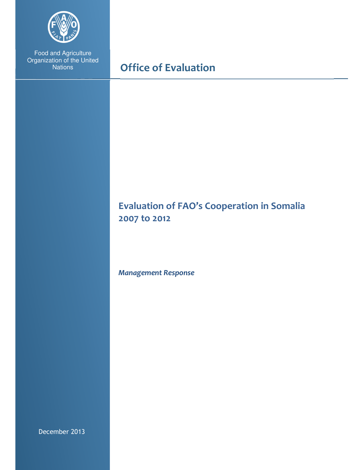

Food and Agriculture Organization of the United **Nations** 

# Office of Evaluation

# Evaluation of FAO's Cooperation in Somalia 2007 to 2012

Management Response

December 2013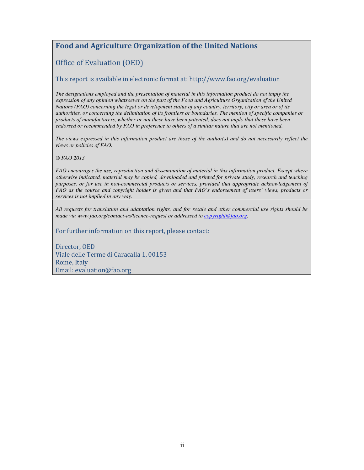## Food and Agriculture Organization of the United Nations

## Office of Evaluation (OED)

#### This report is available in electronic format at: http://www.fao.org/evaluation

*The designations employed and the presentation of material in this information product do not imply the expression of any opinion whatsoever on the part of the Food and Agriculture Organization of the United Nations (FAO) concerning the legal or development status of any country, territory, city or area or of its authorities, or concerning the delimitation of its frontiers or boundaries. The mention of specific companies or products of manufacturers, whether or not these have been patented, does not imply that these have been endorsed or recommended by FAO in preference to others of a similar nature that are not mentioned.* 

*The views expressed in this information product are those of the author(s) and do not necessarily reflect the views or policies of FAO.* 

*© FAO 2013* 

*FAO encourages the use, reproduction and dissemination of material in this information product. Except where otherwise indicated, material may be copied, downloaded and printed for private study, research and teaching purposes, or for use in non-commercial products or services, provided that appropriate acknowledgement of FAO as the source and copyright holder is given and that FAO's endorsement of users' views, products or services is not implied in any way.* 

*All requests for translation and adaptation rights, and for resale and other commercial use rights should be made via www.fao.org/contact-us/licence-request or addressed to copyright@fao.org.* 

For further information on this report, please contact:

Director, OED Viale delle Terme di Caracalla 1, 00153 Rome, Italy Email: evaluation@fao.org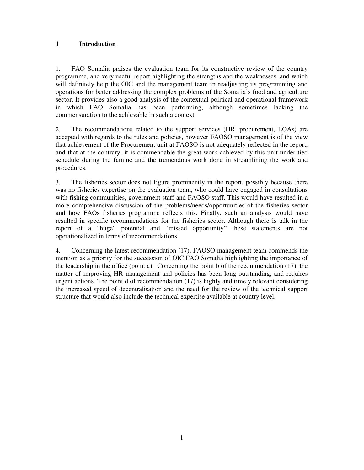### **1 Introduction**

1. FAO Somalia praises the evaluation team for its constructive review of the country programme, and very useful report highlighting the strengths and the weaknesses, and which will definitely help the OIC and the management team in readjusting its programming and operations for better addressing the complex problems of the Somalia's food and agriculture sector. It provides also a good analysis of the contextual political and operational framework in which FAO Somalia has been performing, although sometimes lacking the commensuration to the achievable in such a context.

2. The recommendations related to the support services (HR, procurement, LOAs) are accepted with regards to the rules and policies, however FAOSO management is of the view that achievement of the Procurement unit at FAOSO is not adequately reflected in the report, and that at the contrary, it is commendable the great work achieved by this unit under tied schedule during the famine and the tremendous work done in streamlining the work and procedures.

3. The fisheries sector does not figure prominently in the report, possibly because there was no fisheries expertise on the evaluation team, who could have engaged in consultations with fishing communities, government staff and FAOSO staff. This would have resulted in a more comprehensive discussion of the problems/needs/opportunities of the fisheries sector and how FAOs fisheries programme reflects this. Finally, such an analysis would have resulted in specific recommendations for the fisheries sector. Although there is talk in the report of a "huge" potential and "missed opportunity" these statements are not operationalized in terms of recommendations.

4. Concerning the latest recommendation (17), FAOSO management team commends the mention as a priority for the succession of OIC FAO Somalia highlighting the importance of the leadership in the office (point a). Concerning the point b of the recommendation (17), the matter of improving HR management and policies has been long outstanding, and requires urgent actions. The point d of recommendation (17) is highly and timely relevant considering the increased speed of decentralisation and the need for the review of the technical support structure that would also include the technical expertise available at country level.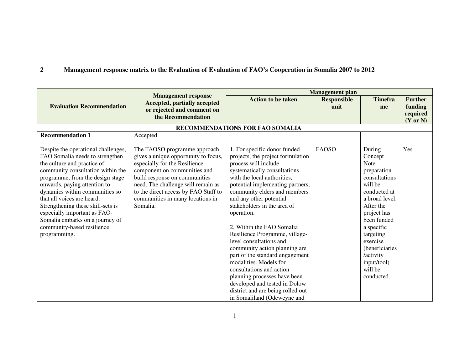#### **2Management response matrix to the Evaluation of Evaluation of FAO's Cooperation in Somalia 2007 to 2012**

|                                                                                                                                                                                                                                                                                                                                                                                                                                      |                                                                                                                                                                                                                                                                                                      |                                                                                                                                                                                                                                                                                                                                                                                                                                                                                                                          | <b>Management plan</b> |                                                                                                                                                                                                                                                          |                |
|--------------------------------------------------------------------------------------------------------------------------------------------------------------------------------------------------------------------------------------------------------------------------------------------------------------------------------------------------------------------------------------------------------------------------------------|------------------------------------------------------------------------------------------------------------------------------------------------------------------------------------------------------------------------------------------------------------------------------------------------------|--------------------------------------------------------------------------------------------------------------------------------------------------------------------------------------------------------------------------------------------------------------------------------------------------------------------------------------------------------------------------------------------------------------------------------------------------------------------------------------------------------------------------|------------------------|----------------------------------------------------------------------------------------------------------------------------------------------------------------------------------------------------------------------------------------------------------|----------------|
|                                                                                                                                                                                                                                                                                                                                                                                                                                      | <b>Management response</b><br>Accepted, partially accepted                                                                                                                                                                                                                                           | <b>Action to be taken</b>                                                                                                                                                                                                                                                                                                                                                                                                                                                                                                | <b>Responsible</b>     | <b>Timefra</b>                                                                                                                                                                                                                                           | <b>Further</b> |
| <b>Evaluation Recommendation</b>                                                                                                                                                                                                                                                                                                                                                                                                     | or rejected and comment on                                                                                                                                                                                                                                                                           |                                                                                                                                                                                                                                                                                                                                                                                                                                                                                                                          | unit                   | me                                                                                                                                                                                                                                                       | funding        |
|                                                                                                                                                                                                                                                                                                                                                                                                                                      | the Recommendation                                                                                                                                                                                                                                                                                   |                                                                                                                                                                                                                                                                                                                                                                                                                                                                                                                          |                        |                                                                                                                                                                                                                                                          | required       |
|                                                                                                                                                                                                                                                                                                                                                                                                                                      |                                                                                                                                                                                                                                                                                                      |                                                                                                                                                                                                                                                                                                                                                                                                                                                                                                                          |                        |                                                                                                                                                                                                                                                          | (Y or N)       |
|                                                                                                                                                                                                                                                                                                                                                                                                                                      |                                                                                                                                                                                                                                                                                                      | RECOMMENDATIONS FOR FAO SOMALIA                                                                                                                                                                                                                                                                                                                                                                                                                                                                                          |                        |                                                                                                                                                                                                                                                          |                |
| <b>Recommendation 1</b>                                                                                                                                                                                                                                                                                                                                                                                                              | Accepted                                                                                                                                                                                                                                                                                             |                                                                                                                                                                                                                                                                                                                                                                                                                                                                                                                          |                        |                                                                                                                                                                                                                                                          |                |
| Despite the operational challenges,<br>FAO Somalia needs to strengthen<br>the culture and practice of<br>community consultation within the<br>programme, from the design stage<br>onwards, paying attention to<br>dynamics within communities so<br>that all voices are heard.<br>Strengthening these skill-sets is<br>especially important as FAO-<br>Somalia embarks on a journey of<br>community-based resilience<br>programming. | The FAOSO programme approach<br>gives a unique opportunity to focus,<br>especially for the Resilience<br>component on communities and<br>build response on communities<br>need. The challenge will remain as<br>to the direct access by FAO Staff to<br>communities in many locations in<br>Somalia. | 1. For specific donor funded<br>projects, the project formulation<br>process will include<br>systematically consultations<br>with the local authorities,<br>potential implementing partners,<br>community elders and members<br>and any other potential<br>stakeholders in the area of<br>operation.<br>2. Within the FAO Somalia<br>Resilience Programme, village-<br>level consultations and<br>community action planning are<br>part of the standard engagement<br>modalities. Models for<br>consultations and action | FAOSO                  | During<br>Concept<br><b>Note</b><br>preparation<br>consultations<br>will be<br>conducted at<br>a broad level.<br>After the<br>project has<br>been funded<br>a specific<br>targeting<br>exercise<br>(beneficiaries<br>/activity<br>input/tool)<br>will be | Yes            |
|                                                                                                                                                                                                                                                                                                                                                                                                                                      |                                                                                                                                                                                                                                                                                                      | planning processes have been                                                                                                                                                                                                                                                                                                                                                                                                                                                                                             |                        | conducted.                                                                                                                                                                                                                                               |                |
|                                                                                                                                                                                                                                                                                                                                                                                                                                      |                                                                                                                                                                                                                                                                                                      | developed and tested in Dolow                                                                                                                                                                                                                                                                                                                                                                                                                                                                                            |                        |                                                                                                                                                                                                                                                          |                |
|                                                                                                                                                                                                                                                                                                                                                                                                                                      |                                                                                                                                                                                                                                                                                                      | district and are being rolled out                                                                                                                                                                                                                                                                                                                                                                                                                                                                                        |                        |                                                                                                                                                                                                                                                          |                |
|                                                                                                                                                                                                                                                                                                                                                                                                                                      |                                                                                                                                                                                                                                                                                                      | in Somaliland (Odeweyne and                                                                                                                                                                                                                                                                                                                                                                                                                                                                                              |                        |                                                                                                                                                                                                                                                          |                |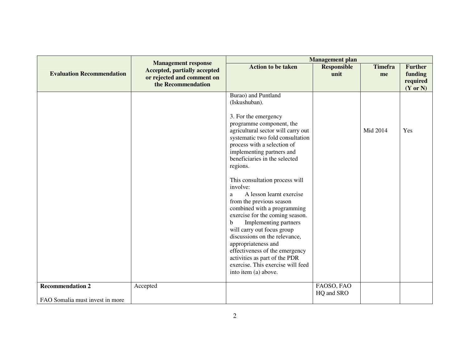|                                                            | <b>Management response</b><br><b>Accepted, partially accepted</b><br>or rejected and comment on<br>the Recommendation | <b>Management</b> plan                                                                                                                                                                                                                                                                                                                                                                                                                                                                                                                                                                                                                                                                                                 |                            |                      |                                                              |
|------------------------------------------------------------|-----------------------------------------------------------------------------------------------------------------------|------------------------------------------------------------------------------------------------------------------------------------------------------------------------------------------------------------------------------------------------------------------------------------------------------------------------------------------------------------------------------------------------------------------------------------------------------------------------------------------------------------------------------------------------------------------------------------------------------------------------------------------------------------------------------------------------------------------------|----------------------------|----------------------|--------------------------------------------------------------|
| <b>Evaluation Recommendation</b>                           |                                                                                                                       | <b>Action to be taken</b>                                                                                                                                                                                                                                                                                                                                                                                                                                                                                                                                                                                                                                                                                              | <b>Responsible</b><br>unit | <b>Timefra</b><br>me | <b>Further</b><br>funding<br>required<br>$(Y \text{ or } N)$ |
|                                                            |                                                                                                                       | Burao) and Puntland<br>(Iskushuban).<br>3. For the emergency<br>programme component, the<br>agricultural sector will carry out<br>systematic two fold consultation<br>process with a selection of<br>implementing partners and<br>beneficiaries in the selected<br>regions.<br>This consultation process will<br>involve:<br>A lesson learnt exercise<br>a<br>from the previous season<br>combined with a programming<br>exercise for the coming season.<br>Implementing partners<br>$\mathbf b$<br>will carry out focus group<br>discussions on the relevance,<br>appropriateness and<br>effectiveness of the emergency<br>activities as part of the PDR<br>exercise. This exercise will feed<br>into item (a) above. |                            | Mid 2014             | Yes                                                          |
| <b>Recommendation 2</b><br>FAO Somalia must invest in more | Accepted                                                                                                              |                                                                                                                                                                                                                                                                                                                                                                                                                                                                                                                                                                                                                                                                                                                        | FAOSO, FAO<br>HQ and SRO   |                      |                                                              |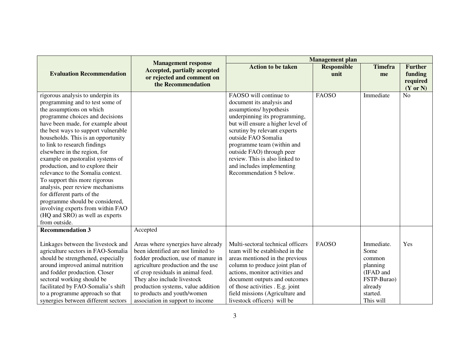|                                                                                                                                                                                                                                                                                                                                                                                                                                                                                                                                                                                                                                                                    |                                                                                                                                                                                                                                                                                                                                    | <b>Management</b> plan                                                                                                                                                                                                                                                                                                                                          |                            |                                                                                                          |                                       |
|--------------------------------------------------------------------------------------------------------------------------------------------------------------------------------------------------------------------------------------------------------------------------------------------------------------------------------------------------------------------------------------------------------------------------------------------------------------------------------------------------------------------------------------------------------------------------------------------------------------------------------------------------------------------|------------------------------------------------------------------------------------------------------------------------------------------------------------------------------------------------------------------------------------------------------------------------------------------------------------------------------------|-----------------------------------------------------------------------------------------------------------------------------------------------------------------------------------------------------------------------------------------------------------------------------------------------------------------------------------------------------------------|----------------------------|----------------------------------------------------------------------------------------------------------|---------------------------------------|
| <b>Evaluation Recommendation</b>                                                                                                                                                                                                                                                                                                                                                                                                                                                                                                                                                                                                                                   | <b>Management response</b><br><b>Accepted, partially accepted</b><br>or rejected and comment on<br>the Recommendation                                                                                                                                                                                                              | <b>Action to be taken</b>                                                                                                                                                                                                                                                                                                                                       | <b>Responsible</b><br>unit | <b>Timefra</b><br>me                                                                                     | <b>Further</b><br>funding<br>required |
|                                                                                                                                                                                                                                                                                                                                                                                                                                                                                                                                                                                                                                                                    |                                                                                                                                                                                                                                                                                                                                    |                                                                                                                                                                                                                                                                                                                                                                 |                            |                                                                                                          | $(Y \text{ or } N)$                   |
| rigorous analysis to underpin its<br>programming and to test some of<br>the assumptions on which<br>programme choices and decisions<br>have been made, for example about<br>the best ways to support vulnerable<br>households. This is an opportunity<br>to link to research findings<br>elsewhere in the region, for<br>example on pastoralist systems of<br>production, and to explore their<br>relevance to the Somalia context.<br>To support this more rigorous<br>analysis, peer review mechanisms<br>for different parts of the<br>programme should be considered,<br>involving experts from within FAO<br>(HQ and SRO) as well as experts<br>from outside. |                                                                                                                                                                                                                                                                                                                                    | FAOSO will continue to<br>document its analysis and<br>assumptions/hypothesis<br>underpinning its programming,<br>but will ensure a higher level of<br>scrutiny by relevant experts<br>outside FAO Somalia<br>programme team (within and<br>outside FAO) through peer<br>review. This is also linked to<br>and includes implementing<br>Recommendation 5 below. | <b>FAOSO</b>               | Immediate                                                                                                | N <sub>o</sub>                        |
| <b>Recommendation 3</b>                                                                                                                                                                                                                                                                                                                                                                                                                                                                                                                                                                                                                                            | Accepted                                                                                                                                                                                                                                                                                                                           |                                                                                                                                                                                                                                                                                                                                                                 |                            |                                                                                                          |                                       |
| Linkages between the livestock and<br>agriculture sectors in FAO-Somalia<br>should be strengthened, especially<br>around improved animal nutrition<br>and fodder production. Closer<br>sectoral working should be<br>facilitated by FAO-Somalia's shift<br>to a programme approach so that<br>synergies between different sectors                                                                                                                                                                                                                                                                                                                                  | Areas where synergies have already<br>been identified are not limited to<br>fodder production, use of manure in<br>agriculture production and the use<br>of crop residuals in animal feed.<br>They also include livestock<br>production systems, value addition<br>to products and youth/women<br>association in support to income | Multi-sectoral technical officers<br>team will be established in the<br>areas mentioned in the previous<br>column to produce joint plan of<br>actions, monitor activities and<br>document outputs and outcomes<br>of those activities . E.g. joint<br>field missions (Agriculture and<br>livestock officers) will be                                            | <b>FAOSO</b>               | Immediate.<br>Some<br>common<br>planning<br>(IFAD and<br>FSTP-Burao)<br>already<br>started.<br>This will | Yes                                   |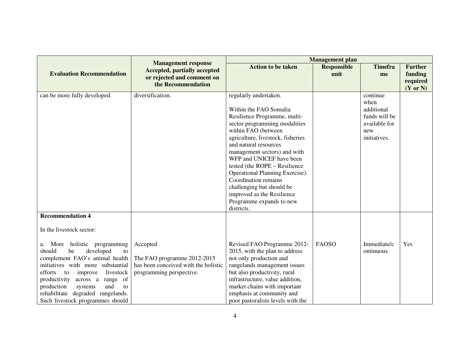|                                                                     |                                                                     | <b>Management</b> plan                                  |                            |                      |                           |
|---------------------------------------------------------------------|---------------------------------------------------------------------|---------------------------------------------------------|----------------------------|----------------------|---------------------------|
| <b>Evaluation Recommendation</b>                                    | <b>Management response</b><br><b>Accepted, partially accepted</b>   | <b>Action to be taken</b>                               | <b>Responsible</b><br>unit | <b>Timefra</b><br>me | <b>Further</b><br>funding |
|                                                                     | or rejected and comment on                                          |                                                         |                            |                      | required                  |
|                                                                     | the Recommendation                                                  |                                                         |                            |                      | $(Y \text{ or } N)$       |
| can be more fully developed.                                        | diversification.                                                    | regularly undertaken.                                   |                            | continue             |                           |
|                                                                     |                                                                     | Within the FAO Somalia                                  |                            | when<br>additional   |                           |
|                                                                     |                                                                     | Resilience Programme, multi-                            |                            | funds will be        |                           |
|                                                                     |                                                                     | sector programming modalities                           |                            | available for        |                           |
|                                                                     |                                                                     | within FAO (between                                     |                            | new                  |                           |
|                                                                     |                                                                     | agriculture, livestock, fisheries                       |                            | initiatives.         |                           |
|                                                                     |                                                                     | and natural resources                                   |                            |                      |                           |
|                                                                     |                                                                     | management sectors) and with                            |                            |                      |                           |
|                                                                     |                                                                     | WFP and UNICEF have been                                |                            |                      |                           |
|                                                                     |                                                                     | tested (the ROPE - Resilience                           |                            |                      |                           |
|                                                                     |                                                                     | Operational Planning Exercise).<br>Coordination remains |                            |                      |                           |
|                                                                     |                                                                     | challenging but should be                               |                            |                      |                           |
|                                                                     |                                                                     | improved as the Resilience                              |                            |                      |                           |
|                                                                     |                                                                     | Programme expands to new                                |                            |                      |                           |
|                                                                     |                                                                     | districts.                                              |                            |                      |                           |
| <b>Recommendation 4</b>                                             |                                                                     |                                                         |                            |                      |                           |
| In the livestock sector:                                            |                                                                     |                                                         |                            |                      |                           |
|                                                                     |                                                                     |                                                         |                            |                      |                           |
| a. More holistic programming                                        | Accepted                                                            | Revised FAO Programme 2012-                             | <b>FAOSO</b>               | Immediate/c          | Yes                       |
| should<br>developed<br>be<br>to                                     |                                                                     | 2015, with the plan to address                          |                            | ontinuous            |                           |
| complement FAO's animal health<br>initiatives with more substantial | The FAO programme 2012-2015<br>has been conceived with the holistic | not only production and<br>rangelands management issues |                            |                      |                           |
| livestock<br>efforts<br>to<br>improve                               | programming perspective.                                            | but also productivity, rural                            |                            |                      |                           |
| productivity across a<br>range of                                   |                                                                     | infrastructure, value addition,                         |                            |                      |                           |
| production<br>and<br>systems<br>to                                  |                                                                     | market chains with important                            |                            |                      |                           |
| rehabilitate degraded rangelands.                                   |                                                                     | emphasis at community and                               |                            |                      |                           |
| Such livestock programmes should                                    |                                                                     | poor pastoralists levels with the                       |                            |                      |                           |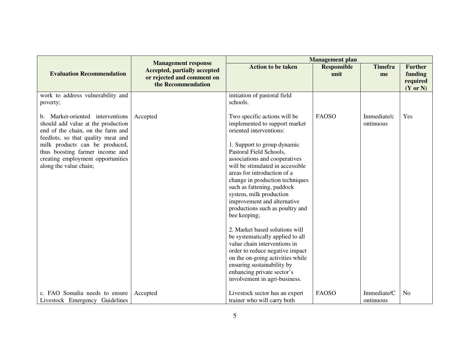|                                                                                                                                                                                                                                                                                       |                                                                                                                       | <b>Management</b> plan                                                                                                                                                                                                                                                                                                                                                                                                                                                                                                                                                                                                                                                                                         |                            |                          |                                                              |
|---------------------------------------------------------------------------------------------------------------------------------------------------------------------------------------------------------------------------------------------------------------------------------------|-----------------------------------------------------------------------------------------------------------------------|----------------------------------------------------------------------------------------------------------------------------------------------------------------------------------------------------------------------------------------------------------------------------------------------------------------------------------------------------------------------------------------------------------------------------------------------------------------------------------------------------------------------------------------------------------------------------------------------------------------------------------------------------------------------------------------------------------------|----------------------------|--------------------------|--------------------------------------------------------------|
| <b>Evaluation Recommendation</b>                                                                                                                                                                                                                                                      | <b>Management response</b><br><b>Accepted, partially accepted</b><br>or rejected and comment on<br>the Recommendation | <b>Action to be taken</b>                                                                                                                                                                                                                                                                                                                                                                                                                                                                                                                                                                                                                                                                                      | <b>Responsible</b><br>unit | <b>Timefra</b><br>me     | <b>Further</b><br>funding<br>required<br>$(Y \text{ or } N)$ |
| work to address vulnerability and<br>poverty;                                                                                                                                                                                                                                         |                                                                                                                       | initiation of pastoral field<br>schools.                                                                                                                                                                                                                                                                                                                                                                                                                                                                                                                                                                                                                                                                       |                            |                          |                                                              |
| b. Market-oriented interventions<br>should add value at the production<br>end of the chain, on the farm and<br>feedlots, so that quality meat and<br>milk products can be produced,<br>thus boosting farmer income and<br>creating employment opportunities<br>along the value chain; | Accepted                                                                                                              | Two specific actions will be<br>implemented to support market<br>oriented interventions:<br>1. Support to group dynamic<br>Pastoral Field Schools,<br>associations and cooperatives<br>will be stimulated in accessible<br>areas for introduction of a<br>change in production techniques<br>such as fattening, paddock<br>system, milk production<br>improvement and alternative<br>productions such as poultry and<br>bee keeping;<br>2. Market based solutions will<br>be systematically applied to all<br>value chain interventions in<br>order to reduce negative impact<br>on the on-going activities while<br>ensuring sustainability by<br>enhancing private sector's<br>involvement in agri-business. | <b>FAOSO</b>               | Immediate/c<br>ontinuous | Yes                                                          |
| c. FAO Somalia needs to ensure<br>Livestock Emergency Guidelines                                                                                                                                                                                                                      | Accepted                                                                                                              | Livestock sector has an expert<br>trainer who will carry both                                                                                                                                                                                                                                                                                                                                                                                                                                                                                                                                                                                                                                                  | <b>FAOSO</b>               | Immediate/C<br>ontinuous | N <sub>o</sub>                                               |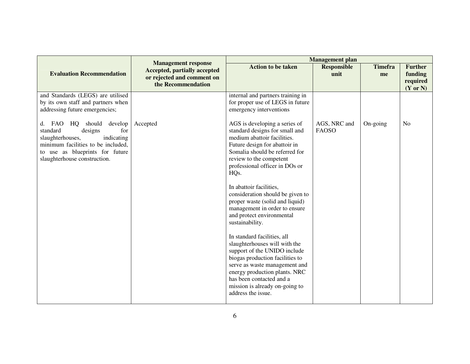|                                                                                                                                                                                                   | <b>Management response</b>                                                              | <b>Management</b> plan                                                                                                                                                                                                                                                                                                                                                                                                                                                                                                                                                                                                                                                                                                          |                              |                      |                                                              |
|---------------------------------------------------------------------------------------------------------------------------------------------------------------------------------------------------|-----------------------------------------------------------------------------------------|---------------------------------------------------------------------------------------------------------------------------------------------------------------------------------------------------------------------------------------------------------------------------------------------------------------------------------------------------------------------------------------------------------------------------------------------------------------------------------------------------------------------------------------------------------------------------------------------------------------------------------------------------------------------------------------------------------------------------------|------------------------------|----------------------|--------------------------------------------------------------|
| <b>Evaluation Recommendation</b>                                                                                                                                                                  | <b>Accepted, partially accepted</b><br>or rejected and comment on<br>the Recommendation | <b>Action to be taken</b>                                                                                                                                                                                                                                                                                                                                                                                                                                                                                                                                                                                                                                                                                                       | <b>Responsible</b><br>unit   | <b>Timefra</b><br>me | <b>Further</b><br>funding<br>required<br>$(Y \text{ or } N)$ |
| and Standards (LEGS) are utilised<br>by its own staff and partners when<br>addressing future emergencies;                                                                                         |                                                                                         | internal and partners training in<br>for proper use of LEGS in future<br>emergency interventions                                                                                                                                                                                                                                                                                                                                                                                                                                                                                                                                                                                                                                |                              |                      |                                                              |
| d. FAO HQ should develop<br>standard<br>for<br>designs<br>indicating<br>slaughterhouses,<br>minimum facilities to be included,<br>to use as blueprints for future<br>slaughterhouse construction. | Accepted                                                                                | AGS is developing a series of<br>standard designs for small and<br>medium abattoir facilities.<br>Future design for abattoir in<br>Somalia should be referred for<br>review to the competent<br>professional officer in DOs or<br>HQ <sub>s</sub> .<br>In abattoir facilities,<br>consideration should be given to<br>proper waste (solid and liquid)<br>management in order to ensure<br>and protect environmental<br>sustainability.<br>In standard facilities, all<br>slaughterhouses will with the<br>support of the UNIDO include<br>biogas production facilities to<br>serve as waste management and<br>energy production plants. NRC<br>has been contacted and a<br>mission is already on-going to<br>address the issue. | AGS, NRC and<br><b>FAOSO</b> | On-going             | N <sub>o</sub>                                               |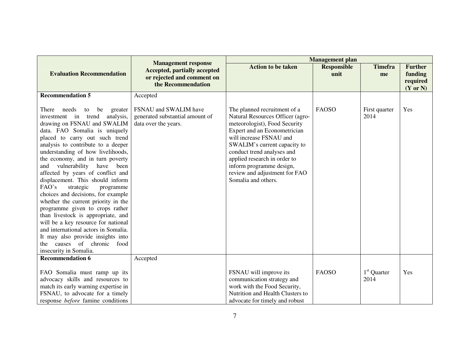|                                                                                                                                                                                                                                                                                                                                                                                                                                                                                                                                                                                                                                                                                                                                                                      |                                                                                                                       | <b>Management</b> plan                                                                                                                                                                                                                                                                                                                         |                            |                       |                                                              |
|----------------------------------------------------------------------------------------------------------------------------------------------------------------------------------------------------------------------------------------------------------------------------------------------------------------------------------------------------------------------------------------------------------------------------------------------------------------------------------------------------------------------------------------------------------------------------------------------------------------------------------------------------------------------------------------------------------------------------------------------------------------------|-----------------------------------------------------------------------------------------------------------------------|------------------------------------------------------------------------------------------------------------------------------------------------------------------------------------------------------------------------------------------------------------------------------------------------------------------------------------------------|----------------------------|-----------------------|--------------------------------------------------------------|
| <b>Evaluation Recommendation</b>                                                                                                                                                                                                                                                                                                                                                                                                                                                                                                                                                                                                                                                                                                                                     | <b>Management response</b><br><b>Accepted, partially accepted</b><br>or rejected and comment on<br>the Recommendation | <b>Action to be taken</b>                                                                                                                                                                                                                                                                                                                      | <b>Responsible</b><br>unit | <b>Timefra</b><br>me  | <b>Further</b><br>funding<br>required<br>$(Y \text{ or } N)$ |
| <b>Recommendation 5</b>                                                                                                                                                                                                                                                                                                                                                                                                                                                                                                                                                                                                                                                                                                                                              | Accepted                                                                                                              |                                                                                                                                                                                                                                                                                                                                                |                            |                       |                                                              |
| There needs<br>be<br>to<br>greater<br>investment in trend<br>analysis,<br>drawing on FSNAU and SWALIM<br>data. FAO Somalia is uniquely<br>placed to carry out such trend<br>analysis to contribute to a deeper<br>understanding of how livelihoods,<br>the economy, and in turn poverty<br>and vulnerability have been<br>affected by years of conflict and<br>displacement. This should inform<br>FAO's<br>strategic<br>programme<br>choices and decisions, for example<br>whether the current priority in the<br>programme given to crops rather<br>than livestock is appropriate, and<br>will be a key resource for national<br>and international actors in Somalia.<br>It may also provide insights into<br>the causes of chronic food<br>insecurity in Somalia. | FSNAU and SWALIM have<br>generated substantial amount of<br>data over the years.                                      | The planned recruitment of a<br>Natural Resources Officer (agro-<br>meteorologist), Food Security<br>Expert and an Econometrician<br>will increase FSNAU and<br>SWALIM's current capacity to<br>conduct trend analyses and<br>applied research in order to<br>inform programme design,<br>review and adjustment for FAO<br>Somalia and others. | <b>FAOSO</b>               | First quarter<br>2014 | Yes                                                          |
| <b>Recommendation 6</b>                                                                                                                                                                                                                                                                                                                                                                                                                                                                                                                                                                                                                                                                                                                                              | Accepted                                                                                                              |                                                                                                                                                                                                                                                                                                                                                |                            |                       |                                                              |
| FAO Somalia must ramp up its<br>advocacy skills and resources to<br>match its early warning expertise in<br>FSNAU, to advocate for a timely<br>response <i>before</i> famine conditions                                                                                                                                                                                                                                                                                                                                                                                                                                                                                                                                                                              |                                                                                                                       | FSNAU will improve its<br>communication strategy and<br>work with the Food Security,<br>Nutrition and Health Clusters to<br>advocate for timely and robust                                                                                                                                                                                     | <b>FAOSO</b>               | $1st$ Quarter<br>2014 | Yes                                                          |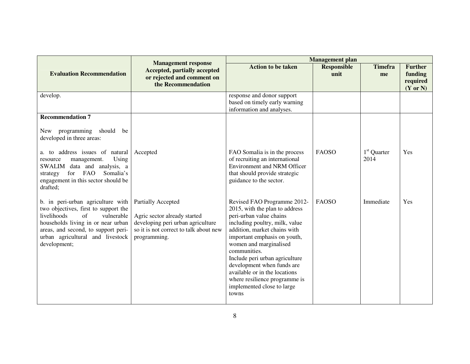|                                                                                                                                                                                                                                               |                                                                                                                                                   | <b>Management</b> plan                                                                                                                                                                                                                                                                                                                                                                                        |                            |                       |                                                              |
|-----------------------------------------------------------------------------------------------------------------------------------------------------------------------------------------------------------------------------------------------|---------------------------------------------------------------------------------------------------------------------------------------------------|---------------------------------------------------------------------------------------------------------------------------------------------------------------------------------------------------------------------------------------------------------------------------------------------------------------------------------------------------------------------------------------------------------------|----------------------------|-----------------------|--------------------------------------------------------------|
| <b>Evaluation Recommendation</b>                                                                                                                                                                                                              | <b>Management response</b><br><b>Accepted, partially accepted</b><br>or rejected and comment on<br>the Recommendation                             | <b>Action to be taken</b>                                                                                                                                                                                                                                                                                                                                                                                     | <b>Responsible</b><br>unit | <b>Timefra</b><br>me  | <b>Further</b><br>funding<br>required<br>$(Y \text{ or } N)$ |
| develop.                                                                                                                                                                                                                                      |                                                                                                                                                   | response and donor support<br>based on timely early warning<br>information and analyses.                                                                                                                                                                                                                                                                                                                      |                            |                       |                                                              |
| <b>Recommendation 7</b>                                                                                                                                                                                                                       |                                                                                                                                                   |                                                                                                                                                                                                                                                                                                                                                                                                               |                            |                       |                                                              |
| programming should<br>be<br>New<br>developed in three areas:                                                                                                                                                                                  |                                                                                                                                                   |                                                                                                                                                                                                                                                                                                                                                                                                               |                            |                       |                                                              |
| a. to address issues of natural<br>Using<br>management.<br>resource<br>SWALIM data and analysis, a<br>for FAO<br>Somalia's<br>strategy<br>engagement in this sector should be<br>drafted;                                                     | Accepted                                                                                                                                          | FAO Somalia is in the process<br>of recruiting an international<br><b>Environment and NRM Officer</b><br>that should provide strategic<br>guidance to the sector.                                                                                                                                                                                                                                             | <b>FAOSO</b>               | $1st$ Quarter<br>2014 | Yes                                                          |
| b. in peri-urban agriculture with<br>two objectives, first to support the<br>livelihoods<br>of<br>vulnerable<br>households living in or near urban<br>areas, and second, to support peri-<br>urban agricultural and livestock<br>development; | Partially Accepted<br>Agric sector already started<br>developing peri urban agriculture<br>so it is not correct to talk about new<br>programming. | Revised FAO Programme 2012-<br>2015, with the plan to address<br>peri-urban value chains<br>including poultry, milk, value<br>addition, market chains with<br>important emphasis on youth,<br>women and marginalised<br>communities.<br>Include peri urban agriculture<br>development when funds are<br>available or in the locations<br>where resilience programme is<br>implemented close to large<br>towns | <b>FAOSO</b>               | Immediate             | Yes                                                          |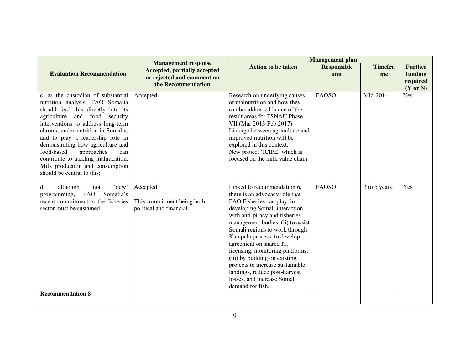|                                                                                                                                                                                                                                                                                                                                                                                                                                                   | <b>Management response</b>                                                              | <b>Management</b> plan                                                                                                                                                                                                                                                                                                                                                                                                                                                                       |                            |                      |                                                              |
|---------------------------------------------------------------------------------------------------------------------------------------------------------------------------------------------------------------------------------------------------------------------------------------------------------------------------------------------------------------------------------------------------------------------------------------------------|-----------------------------------------------------------------------------------------|----------------------------------------------------------------------------------------------------------------------------------------------------------------------------------------------------------------------------------------------------------------------------------------------------------------------------------------------------------------------------------------------------------------------------------------------------------------------------------------------|----------------------------|----------------------|--------------------------------------------------------------|
| <b>Evaluation Recommendation</b>                                                                                                                                                                                                                                                                                                                                                                                                                  | <b>Accepted, partially accepted</b><br>or rejected and comment on<br>the Recommendation | <b>Action to be taken</b>                                                                                                                                                                                                                                                                                                                                                                                                                                                                    | <b>Responsible</b><br>unit | <b>Timefra</b><br>me | <b>Further</b><br>funding<br>required<br>$(Y \text{ or } N)$ |
| c. as the custodian of substantial<br>nutrition analysis, FAO Somalia<br>should feed this directly into its<br>and food security<br>agriculture<br>interventions to address long-term<br>chronic under-nutrition in Somalia,<br>and to play a leadership role in<br>demonstrating how agriculture and<br>food-based<br>approaches<br>can<br>contribute to tackling malnutrition.<br>Milk production and consumption<br>should be central to this; | Accepted                                                                                | Research on underlying causes<br>of malnutrition and how they<br>can be addressed is one of the<br>result areas for FSNAU Phase<br>VII (Mar 2013-Feb 2017).<br>Linkage between agriculture and<br>improved nutrition will be<br>explored in this context.<br>New project 'ICIPE' which is<br>focused on the milk value chain.                                                                                                                                                                | <b>FAOSO</b>               | Mid-2014             | Yes                                                          |
| although<br>'new'<br>d.<br>not<br>Somalia's<br><b>FAO</b><br>programming,<br>recent commitment to the fisheries<br>sector must be sustained.                                                                                                                                                                                                                                                                                                      | Accepted<br>This commitment being both<br>political and financial.                      | Linked to recommendation 6,<br>there is an advocacy role that<br>FAO Fisheries can play, in<br>developing Somali interaction<br>with anti-piracy and fisheries<br>management bodies, (ii) to assist<br>Somali regions to work through<br>Kampala process, to develop<br>agreement on shared IT,<br>licensing, monitoring platforms,<br>(iii) by building on existing<br>projects to increase sustainable<br>landings, reduce post-harvest<br>losses, and increase Somali<br>demand for fish. | <b>FAOSO</b>               | 3 to 5 years         | Yes                                                          |
| <b>Recommendation 8</b>                                                                                                                                                                                                                                                                                                                                                                                                                           |                                                                                         |                                                                                                                                                                                                                                                                                                                                                                                                                                                                                              |                            |                      |                                                              |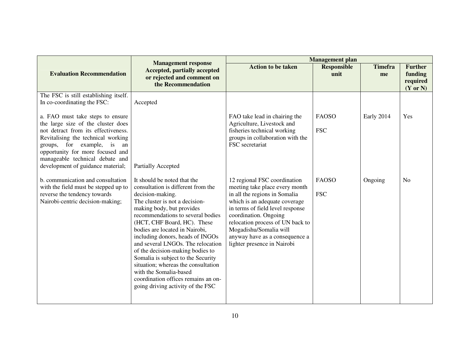|                                                                                                                                                                                                                                                                                                  | <b>Management response</b>                                                                                                                                                                                                                                                                                                                                                                                                                                                                                                                                 | <b>Management plan</b>                                                                                                                                                                                                                                                                                                       |                            |                      |                                                              |
|--------------------------------------------------------------------------------------------------------------------------------------------------------------------------------------------------------------------------------------------------------------------------------------------------|------------------------------------------------------------------------------------------------------------------------------------------------------------------------------------------------------------------------------------------------------------------------------------------------------------------------------------------------------------------------------------------------------------------------------------------------------------------------------------------------------------------------------------------------------------|------------------------------------------------------------------------------------------------------------------------------------------------------------------------------------------------------------------------------------------------------------------------------------------------------------------------------|----------------------------|----------------------|--------------------------------------------------------------|
| <b>Evaluation Recommendation</b>                                                                                                                                                                                                                                                                 | <b>Accepted, partially accepted</b><br>or rejected and comment on<br>the Recommendation                                                                                                                                                                                                                                                                                                                                                                                                                                                                    | <b>Action to be taken</b>                                                                                                                                                                                                                                                                                                    | <b>Responsible</b><br>unit | <b>Timefra</b><br>me | <b>Further</b><br>funding<br>required<br>$(Y \text{ or } N)$ |
| The FSC is still establishing itself.<br>In co-coordinating the FSC:                                                                                                                                                                                                                             | Accepted                                                                                                                                                                                                                                                                                                                                                                                                                                                                                                                                                   |                                                                                                                                                                                                                                                                                                                              |                            |                      |                                                              |
| a. FAO must take steps to ensure<br>the large size of the cluster does<br>not detract from its effectiveness.<br>Revitalising the technical working<br>groups, for example, is<br>an<br>opportunity for more focused and<br>manageable technical debate and<br>development of guidance material; | Partially Accepted                                                                                                                                                                                                                                                                                                                                                                                                                                                                                                                                         | FAO take lead in chairing the<br>Agriculture, Livestock and<br>fisheries technical working<br>groups in collaboration with the<br>FSC secretariat                                                                                                                                                                            | <b>FAOSO</b><br><b>FSC</b> | Early 2014           | Yes                                                          |
| b. communication and consultation<br>with the field must be stepped up to<br>reverse the tendency towards<br>Nairobi-centric decision-making;                                                                                                                                                    | It should be noted that the<br>consultation is different from the<br>decision-making.<br>The cluster is not a decision-<br>making body, but provides<br>recommendations to several bodies<br>(HCT, CHF Board, HC). These<br>bodies are located in Nairobi,<br>including donors, heads of INGOs<br>and several LNGOs. The relocation<br>of the decision-making bodies to<br>Somalia is subject to the Security<br>situation; whereas the consultation<br>with the Somalia-based<br>coordination offices remains an on-<br>going driving activity of the FSC | 12 regional FSC coordination<br>meeting take place every month<br>in all the regions in Somalia<br>which is an adequate coverage<br>in terms of field level response<br>coordination. Ongoing<br>relocation process of UN back to<br>Mogadishu/Somalia will<br>anyway have as a consequence a<br>lighter presence in Nairobi | <b>FAOSO</b><br><b>FSC</b> | Ongoing              | N <sub>0</sub>                                               |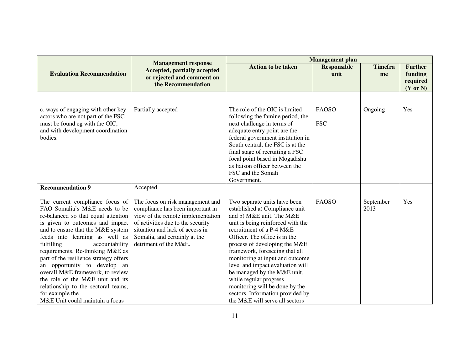|                                                                                                                                                                                                                                                                                                                                                                                                                                                                                                                                      |                                                                                                                                                                                                                                             | <b>Management</b> plan                                                                                                                                                                                                                                                                                                                                                                                                                                                                                  |                            |                      |                                                              |
|--------------------------------------------------------------------------------------------------------------------------------------------------------------------------------------------------------------------------------------------------------------------------------------------------------------------------------------------------------------------------------------------------------------------------------------------------------------------------------------------------------------------------------------|---------------------------------------------------------------------------------------------------------------------------------------------------------------------------------------------------------------------------------------------|---------------------------------------------------------------------------------------------------------------------------------------------------------------------------------------------------------------------------------------------------------------------------------------------------------------------------------------------------------------------------------------------------------------------------------------------------------------------------------------------------------|----------------------------|----------------------|--------------------------------------------------------------|
| <b>Evaluation Recommendation</b>                                                                                                                                                                                                                                                                                                                                                                                                                                                                                                     | <b>Management response</b><br><b>Accepted, partially accepted</b><br>or rejected and comment on<br>the Recommendation                                                                                                                       | <b>Action to be taken</b>                                                                                                                                                                                                                                                                                                                                                                                                                                                                               | <b>Responsible</b><br>unit | <b>Timefra</b><br>me | <b>Further</b><br>funding<br>required<br>$(Y \text{ or } N)$ |
| c. ways of engaging with other key<br>actors who are not part of the FSC<br>must be found eg with the OIC,<br>and with development coordination<br>bodies.                                                                                                                                                                                                                                                                                                                                                                           | Partially accepted                                                                                                                                                                                                                          | The role of the OIC is limited<br>following the famine period, the<br>next challenge in terms of<br>adequate entry point are the<br>federal government institution in<br>South central, the FSC is at the<br>final stage of recruiting a FSC<br>focal point based in Mogadishu<br>as liaison officer between the<br>FSC and the Somali<br>Government.                                                                                                                                                   | <b>FAOSO</b><br><b>FSC</b> | Ongoing              | Yes                                                          |
| <b>Recommendation 9</b>                                                                                                                                                                                                                                                                                                                                                                                                                                                                                                              | Accepted                                                                                                                                                                                                                                    |                                                                                                                                                                                                                                                                                                                                                                                                                                                                                                         |                            |                      |                                                              |
| The current compliance focus of<br>FAO Somalia's M&E needs to be<br>re-balanced so that equal attention<br>is given to outcomes and impact<br>and to ensure that the M&E system<br>feeds into learning as well as<br>fulfilling<br>accountability<br>requirements. Re-thinking M&E as<br>part of the resilience strategy offers<br>an opportunity to develop an<br>overall M&E framework, to review<br>the role of the M&E unit and its<br>relationship to the sectoral teams,<br>for example the<br>M&E Unit could maintain a focus | The focus on risk management and<br>compliance has been important in<br>view of the remote implementation<br>of activities due to the security<br>situation and lack of access in<br>Somalia, and certainly at the<br>detriment of the M&E. | Two separate units have been<br>established a) Compliance unit<br>and b) M&E unit. The M&E<br>unit is being reinforced with the<br>recruitment of a P-4 M&E<br>Officer. The office is in the<br>process of developing the M&E<br>framework, foreseeing that all<br>monitoring at input and outcome<br>level and impact evaluation will<br>be managed by the M&E unit,<br>while regular progress<br>monitoring will be done by the<br>sectors. Information provided by<br>the M&E will serve all sectors | <b>FAOSO</b>               | September<br>2013    | Yes                                                          |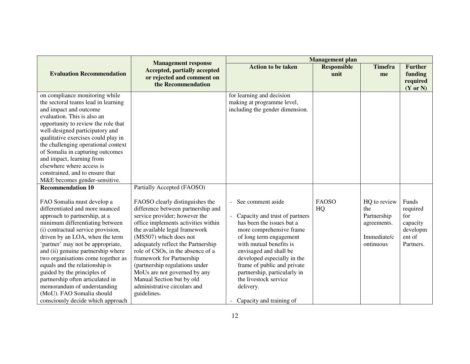|                                                                                                                                                                                                                                                                                                                                                                                                                                                                                                                                   |                                                                                                                                                                                                                                                                                                                                                                                                                                                                | <b>Management</b> plan                                                                                                                                                                                                                                                                                                                                                         |                            |                                                                               |                                                                         |
|-----------------------------------------------------------------------------------------------------------------------------------------------------------------------------------------------------------------------------------------------------------------------------------------------------------------------------------------------------------------------------------------------------------------------------------------------------------------------------------------------------------------------------------|----------------------------------------------------------------------------------------------------------------------------------------------------------------------------------------------------------------------------------------------------------------------------------------------------------------------------------------------------------------------------------------------------------------------------------------------------------------|--------------------------------------------------------------------------------------------------------------------------------------------------------------------------------------------------------------------------------------------------------------------------------------------------------------------------------------------------------------------------------|----------------------------|-------------------------------------------------------------------------------|-------------------------------------------------------------------------|
| <b>Evaluation Recommendation</b>                                                                                                                                                                                                                                                                                                                                                                                                                                                                                                  | <b>Management response</b><br><b>Accepted, partially accepted</b><br>or rejected and comment on<br>the Recommendation                                                                                                                                                                                                                                                                                                                                          | <b>Action to be taken</b>                                                                                                                                                                                                                                                                                                                                                      | <b>Responsible</b><br>unit | <b>Timefra</b><br>me                                                          | <b>Further</b><br>funding<br>required<br>(Y or N)                       |
| on compliance monitoring while<br>the sectoral teams lead in learning<br>and impact and outcome<br>evaluation. This is also an<br>opportunity to review the role that<br>well-designed participatory and<br>qualitative exercises could play in<br>the challenging operational context<br>of Somalia in capturing outcomes<br>and impact, learning from<br>elsewhere where access is<br>constrained, and to ensure that<br>M&E becomes gender-sensitive.<br><b>Recommendation 10</b>                                              | Partially Accepted (FAOSO)                                                                                                                                                                                                                                                                                                                                                                                                                                     | for learning and decision<br>making at programme level,<br>including the gender dimension.                                                                                                                                                                                                                                                                                     |                            |                                                                               |                                                                         |
| FAO Somalia must develop a<br>differentiated and more nuanced<br>approach to partnership, at a<br>minimum differentiating between<br>(i) contractual service provision,<br>driven by an LOA, when the term<br>'partner' may not be appropriate,<br>and (ii) genuine partnership where<br>two organisations come together as<br>equals and the relationship is<br>guided by the principles of<br>partnership often articulated in<br>memorandum of understanding<br>(MoU). FAO Somalia should<br>consciously decide which approach | FAOSO clearly distinguishes the<br>difference between partnership and<br>service provider; however the<br>office implements activities within<br>the available legal framework<br>(MS507) which does not<br>adequately reflect the Partnership<br>role of CSOs, in the absence of a<br>framework for Partnership<br>(partnership regulations under<br>MoUs are not governed by any<br>Manual Section but by old<br>administrative circulars and<br>guidelines. | See comment aside<br>$\blacksquare$<br>Capacity and trust of partners<br>has been the issues but a<br>more comprehensive frame<br>of long term engagement<br>with mutual benefits is<br>envisaged and shall be<br>developed especially in the<br>frame of public and private<br>partnership, particularly in<br>the livestock service<br>delivery.<br>Capacity and training of | <b>FAOSO</b><br>HQ         | HQ to review<br>the<br>Partnership<br>agreements.<br>Immediate/c<br>ontinuous | Funds<br>required<br>for<br>capacity<br>developm<br>ent of<br>Partners. |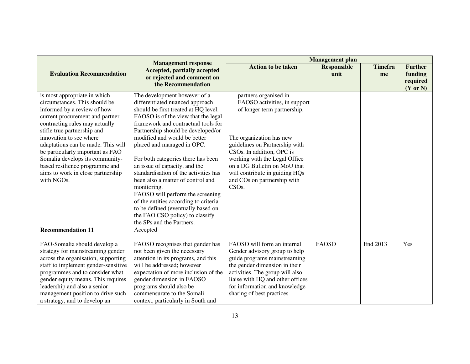|                                                                                                                                                                                                                                                                                                                                                                                                                               |                                                                                                                                                                                                                                                                                                                                                                                                                                                                                                                                                                                                                                                  | <b>Management</b> plan                                                                                                                                                                                                                                                                                                                  |                            |                      |                                                              |  |
|-------------------------------------------------------------------------------------------------------------------------------------------------------------------------------------------------------------------------------------------------------------------------------------------------------------------------------------------------------------------------------------------------------------------------------|--------------------------------------------------------------------------------------------------------------------------------------------------------------------------------------------------------------------------------------------------------------------------------------------------------------------------------------------------------------------------------------------------------------------------------------------------------------------------------------------------------------------------------------------------------------------------------------------------------------------------------------------------|-----------------------------------------------------------------------------------------------------------------------------------------------------------------------------------------------------------------------------------------------------------------------------------------------------------------------------------------|----------------------------|----------------------|--------------------------------------------------------------|--|
| <b>Evaluation Recommendation</b>                                                                                                                                                                                                                                                                                                                                                                                              | <b>Management response</b><br><b>Accepted, partially accepted</b><br>or rejected and comment on<br>the Recommendation                                                                                                                                                                                                                                                                                                                                                                                                                                                                                                                            | <b>Action to be taken</b>                                                                                                                                                                                                                                                                                                               | <b>Responsible</b><br>unit | <b>Timefra</b><br>me | <b>Further</b><br>funding<br>required<br>$(Y \text{ or } N)$ |  |
| is most appropriate in which<br>circumstances. This should be<br>informed by a review of how<br>current procurement and partner<br>contracting rules may actually<br>stifle true partnership and<br>innovation to see where<br>adaptations can be made. This will<br>be particularly important as FAO<br>Somalia develops its community-<br>based resilience programme and<br>aims to work in close partnership<br>with NGOs. | The development however of a<br>differentiated nuanced approach<br>should be first treated at HQ level.<br>FAOSO is of the view that the legal<br>framework and contractual tools for<br>Partnership should be developed/or<br>modified and would be better<br>placed and managed in OPC.<br>For both categories there has been<br>an issue of capacity, and the<br>standardisation of the activities has<br>been also a matter of control and<br>monitoring.<br>FAOSO will perform the screening<br>of the entities according to criteria<br>to be defined (eventually based on<br>the FAO CSO policy) to classify<br>the SPs and the Partners. | partners organised in<br>FAOSO activities, in support<br>of longer term partnership.<br>The organization has new<br>guidelines on Partnership with<br>CSOs. In addition, OPC is<br>working with the Legal Office<br>on a DG Bulletin on MoU that<br>will contribute in guiding HQs<br>and COs on partnership with<br>CSO <sub>s</sub> . |                            |                      |                                                              |  |
| <b>Recommendation 11</b><br>FAO-Somalia should develop a<br>strategy for mainstreaming gender<br>across the organisation, supporting<br>staff to implement gender-sensitive<br>programmes and to consider what<br>gender equity means. This requires<br>leadership and also a senior<br>management position to drive such<br>a strategy, and to develop an                                                                    | Accepted<br>FAOSO recognises that gender has<br>not been given the necessary<br>attention in its programs, and this<br>will be addressed; however<br>expectation of more inclusion of the<br>gender dimension in FAOSO<br>programs should also be<br>commensurate to the Somali<br>context, particularly in South and                                                                                                                                                                                                                                                                                                                            | FAOSO will form an internal<br>Gender advisory group to help<br>guide programs mainstreaming<br>the gender dimension in their<br>activities. The group will also<br>liaise with HQ and other offices<br>for information and knowledge<br>sharing of best practices.                                                                     | <b>FAOSO</b>               | End 2013             | Yes                                                          |  |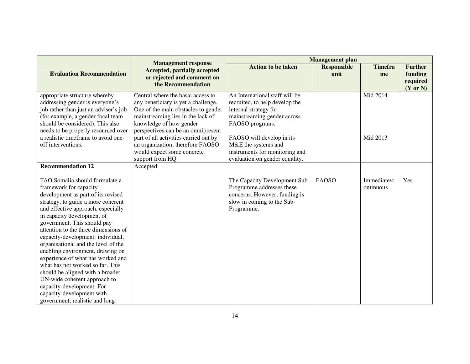|                                       |                                                            | <b>Management</b> plan         |                            |                |                           |
|---------------------------------------|------------------------------------------------------------|--------------------------------|----------------------------|----------------|---------------------------|
| <b>Evaluation Recommendation</b>      | <b>Management response</b><br>Accepted, partially accepted | <b>Action to be taken</b>      | <b>Responsible</b><br>unit | <b>Timefra</b> | <b>Further</b><br>funding |
|                                       | or rejected and comment on                                 |                                |                            | me             | required                  |
|                                       | the Recommendation                                         |                                |                            |                | $(Y \text{ or } N)$       |
| appropriate structure whereby         | Central where the basic access to                          | An International staff will be |                            | Mid 2014       |                           |
| addressing gender is everyone's       | any beneficiary is yet a challenge.                        | recruited, to help develop the |                            |                |                           |
| job rather than just an adviser's job | One of the main obstacles to gender                        | internal strategy for          |                            |                |                           |
| (for example, a gender focal team     | mainstreaming lies in the lack of                          | mainstreaming gender across    |                            |                |                           |
| should be considered). This also      | knowledge of how gender                                    | FAOSO programs.                |                            |                |                           |
| needs to be properly resourced over   | perspectives can be an omnipresent                         |                                |                            |                |                           |
| a realistic timeframe to avoid one-   | part of all activities carried out by                      | FAOSO will develop in its      |                            | Mid 2013       |                           |
| off interventions.                    | an organization; therefore FAOSO                           | M&E the systems and            |                            |                |                           |
|                                       | would expect some concrete                                 | instruments for monitoring and |                            |                |                           |
|                                       | support from HQ.                                           | evaluation on gender equality. |                            |                |                           |
| <b>Recommendation 12</b>              | Accepted                                                   |                                |                            |                |                           |
|                                       |                                                            |                                |                            |                |                           |
| FAO Somalia should formulate a        |                                                            | The Capacity Development Sub-  | <b>FAOSO</b>               | Immediate/c    | Yes                       |
| framework for capacity-               |                                                            | Programme addresses these      |                            | ontinuous      |                           |
| development as part of its revised    |                                                            | concerns. However, funding is  |                            |                |                           |
| strategy, to guide a more coherent    |                                                            | slow in coming to the Sub-     |                            |                |                           |
| and effective approach, especially    |                                                            | Programme.                     |                            |                |                           |
| in capacity development of            |                                                            |                                |                            |                |                           |
| government. This should pay           |                                                            |                                |                            |                |                           |
| attention to the three dimensions of  |                                                            |                                |                            |                |                           |
| capacity-development: individual,     |                                                            |                                |                            |                |                           |
| organisational and the level of the   |                                                            |                                |                            |                |                           |
| enabling environment, drawing on      |                                                            |                                |                            |                |                           |
| experience of what has worked and     |                                                            |                                |                            |                |                           |
| what has not worked so far. This      |                                                            |                                |                            |                |                           |
| should be aligned with a broader      |                                                            |                                |                            |                |                           |
| UN-wide coherent approach to          |                                                            |                                |                            |                |                           |
| capacity-development. For             |                                                            |                                |                            |                |                           |
| capacity-development with             |                                                            |                                |                            |                |                           |
| government, realistic and long-       |                                                            |                                |                            |                |                           |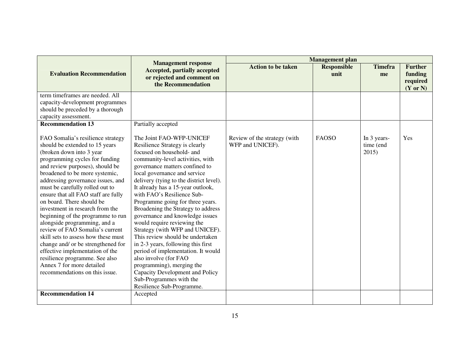|                                                                                                                                                                                                                                                                                                                                                                                                                                                                                                                                                                                                                                                                                                                                            |                                                                                                                                                                                                                                                                                                                                                                                                                                                                                                                                                                                                                                                                                                                                                                         | <b>Management</b> plan                           |                            |                                   |                                                   |  |
|--------------------------------------------------------------------------------------------------------------------------------------------------------------------------------------------------------------------------------------------------------------------------------------------------------------------------------------------------------------------------------------------------------------------------------------------------------------------------------------------------------------------------------------------------------------------------------------------------------------------------------------------------------------------------------------------------------------------------------------------|-------------------------------------------------------------------------------------------------------------------------------------------------------------------------------------------------------------------------------------------------------------------------------------------------------------------------------------------------------------------------------------------------------------------------------------------------------------------------------------------------------------------------------------------------------------------------------------------------------------------------------------------------------------------------------------------------------------------------------------------------------------------------|--------------------------------------------------|----------------------------|-----------------------------------|---------------------------------------------------|--|
| <b>Evaluation Recommendation</b>                                                                                                                                                                                                                                                                                                                                                                                                                                                                                                                                                                                                                                                                                                           | <b>Management response</b><br><b>Accepted, partially accepted</b><br>or rejected and comment on<br>the Recommendation                                                                                                                                                                                                                                                                                                                                                                                                                                                                                                                                                                                                                                                   | <b>Action to be taken</b>                        | <b>Responsible</b><br>unit | <b>Timefra</b><br>me              | <b>Further</b><br>funding<br>required<br>(Y or N) |  |
| term timeframes are needed. All<br>capacity-development programmes                                                                                                                                                                                                                                                                                                                                                                                                                                                                                                                                                                                                                                                                         |                                                                                                                                                                                                                                                                                                                                                                                                                                                                                                                                                                                                                                                                                                                                                                         |                                                  |                            |                                   |                                                   |  |
| should be preceded by a thorough                                                                                                                                                                                                                                                                                                                                                                                                                                                                                                                                                                                                                                                                                                           |                                                                                                                                                                                                                                                                                                                                                                                                                                                                                                                                                                                                                                                                                                                                                                         |                                                  |                            |                                   |                                                   |  |
| capacity assessment.                                                                                                                                                                                                                                                                                                                                                                                                                                                                                                                                                                                                                                                                                                                       |                                                                                                                                                                                                                                                                                                                                                                                                                                                                                                                                                                                                                                                                                                                                                                         |                                                  |                            |                                   |                                                   |  |
| <b>Recommendation 13</b>                                                                                                                                                                                                                                                                                                                                                                                                                                                                                                                                                                                                                                                                                                                   | Partially accepted                                                                                                                                                                                                                                                                                                                                                                                                                                                                                                                                                                                                                                                                                                                                                      |                                                  |                            |                                   |                                                   |  |
| FAO Somalia's resilience strategy<br>should be extended to 15 years<br>(broken down into 3 year<br>programming cycles for funding<br>and review purposes), should be<br>broadened to be more systemic,<br>addressing governance issues, and<br>must be carefully rolled out to<br>ensure that all FAO staff are fully<br>on board. There should be<br>investment in research from the<br>beginning of the programme to run<br>alongside programming, and a<br>review of FAO Somalia's current<br>skill sets to assess how these must<br>change and/ or be strengthened for<br>effective implementation of the<br>resilience programme. See also<br>Annex 7 for more detailed<br>recommendations on this issue.<br><b>Recommendation 14</b> | The Joint FAO-WFP-UNICEF<br>Resilience Strategy is clearly<br>focused on household- and<br>community-level activities, with<br>governance matters confined to<br>local governance and service<br>delivery (tying to the district level).<br>It already has a 15-year outlook,<br>with FAO's Resilience Sub-<br>Programme going for three years.<br>Broadening the Strategy to address<br>governance and knowledge issues<br>would require reviewing the<br>Strategy (with WFP and UNICEF).<br>This review should be undertaken<br>in 2-3 years, following this first<br>period of implementation. It would<br>also involve (for FAO<br>programming), merging the<br>Capacity Development and Policy<br>Sub-Programmes with the<br>Resilience Sub-Programme.<br>Accepted | Review of the strategy (with<br>WFP and UNICEF). | <b>FAOSO</b>               | In 3 years-<br>time (end<br>2015) | Yes                                               |  |
|                                                                                                                                                                                                                                                                                                                                                                                                                                                                                                                                                                                                                                                                                                                                            |                                                                                                                                                                                                                                                                                                                                                                                                                                                                                                                                                                                                                                                                                                                                                                         |                                                  |                            |                                   |                                                   |  |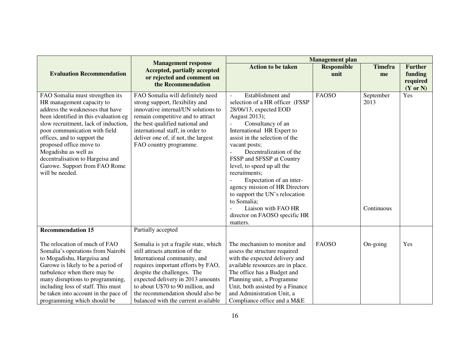|                                                                                                                                                                                                                                                                                                                                                                                              |                                                                                                                                                                                                                                                                                         | <b>Management</b> plan                                                                                                                                                                                                                                                                                                                                                                                                                                                                          |                            |                                 |                                                              |
|----------------------------------------------------------------------------------------------------------------------------------------------------------------------------------------------------------------------------------------------------------------------------------------------------------------------------------------------------------------------------------------------|-----------------------------------------------------------------------------------------------------------------------------------------------------------------------------------------------------------------------------------------------------------------------------------------|-------------------------------------------------------------------------------------------------------------------------------------------------------------------------------------------------------------------------------------------------------------------------------------------------------------------------------------------------------------------------------------------------------------------------------------------------------------------------------------------------|----------------------------|---------------------------------|--------------------------------------------------------------|
| <b>Evaluation Recommendation</b>                                                                                                                                                                                                                                                                                                                                                             | <b>Management response</b><br><b>Accepted, partially accepted</b><br>or rejected and comment on<br>the Recommendation                                                                                                                                                                   | <b>Action to be taken</b>                                                                                                                                                                                                                                                                                                                                                                                                                                                                       | <b>Responsible</b><br>unit | <b>Timefra</b><br>me            | <b>Further</b><br>funding<br>required<br>$(Y \text{ or } N)$ |
| FAO Somalia must strengthen its<br>HR management capacity to<br>address the weaknesses that have<br>been identified in this evaluation eg<br>slow recruitment, lack of induction,<br>poor communication with field<br>offices, and to support the<br>proposed office move to<br>Mogadishu as well as<br>decentralisation to Hargeisa and<br>Garowe. Support from FAO Rome<br>will be needed. | FAO Somalia will definitely need<br>strong support, flexibility and<br>innovative internal/UN solutions to<br>remain competitive and to attract<br>the best qualified national and<br>international staff, in order to<br>deliver one of, if not, the largest<br>FAO country programme. | Establishment and<br>selection of a HR officer (FSSP<br>28/06/13, expected EOD<br>August 2013);<br>Consultancy of an<br>International HR Expert to<br>assist in the selection of the<br>vacant posts;<br>Decentralization of the<br>FSSP and SFSSP at Country<br>level, to speed up all the<br>recruitments;<br>Expectation of an inter-<br>agency mission of HR Directors<br>to support the UN's relocation<br>to Somalia;<br>Liaison with FAO HR<br>director on FAOSO specific HR<br>matters. | <b>FAOSO</b>               | September<br>2013<br>Continuous | Yes                                                          |
| <b>Recommendation 15</b><br>The relocation of much of FAO<br>Somalia's operations from Nairobi<br>to Mogadishu, Hargeisa and<br>Garowe is likely to be a period of<br>turbulence when there may be<br>many disruptions to programming,<br>including loss of staff. This must                                                                                                                 | Partially accepted<br>Somalia is yet a fragile state, which<br>still attracts attention of the<br>International community, and<br>requires important efforts by FAO,<br>despite the challenges. The<br>expected delivery in 2013 amounts<br>to about U\$70 to 90 million, and           | The mechanism to monitor and<br>assess the structure required<br>with the expected delivery and<br>available resources are in place.<br>The office has a Budget and<br>Planning unit, a Programme<br>Unit, both assisted by a Finance                                                                                                                                                                                                                                                           | <b>FAOSO</b>               | On-going                        | Yes                                                          |
| be taken into account in the pace of<br>programming which should be                                                                                                                                                                                                                                                                                                                          | the recommendation should also be<br>balanced with the current available                                                                                                                                                                                                                | and Administration Unit, a<br>Compliance office and a M&E                                                                                                                                                                                                                                                                                                                                                                                                                                       |                            |                                 |                                                              |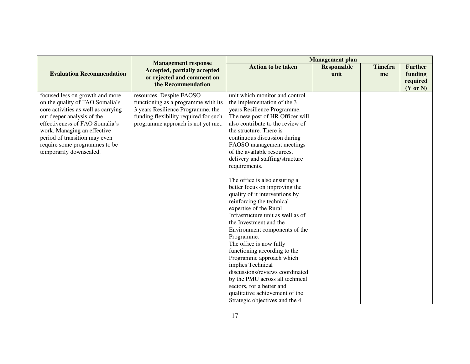|                                                                                                                                                                                                                                                                                                       |                                                                                                                                                                                     | <b>Management plan</b>                                                                                                                                                                                                                                                                                                                                                                                                                                                                                                                                                                                                                                                                                                                                                                                                                                                                                     |                            |                      |                                                              |
|-------------------------------------------------------------------------------------------------------------------------------------------------------------------------------------------------------------------------------------------------------------------------------------------------------|-------------------------------------------------------------------------------------------------------------------------------------------------------------------------------------|------------------------------------------------------------------------------------------------------------------------------------------------------------------------------------------------------------------------------------------------------------------------------------------------------------------------------------------------------------------------------------------------------------------------------------------------------------------------------------------------------------------------------------------------------------------------------------------------------------------------------------------------------------------------------------------------------------------------------------------------------------------------------------------------------------------------------------------------------------------------------------------------------------|----------------------------|----------------------|--------------------------------------------------------------|
| <b>Evaluation Recommendation</b>                                                                                                                                                                                                                                                                      | <b>Management response</b><br><b>Accepted, partially accepted</b><br>or rejected and comment on<br>the Recommendation                                                               | <b>Action to be taken</b>                                                                                                                                                                                                                                                                                                                                                                                                                                                                                                                                                                                                                                                                                                                                                                                                                                                                                  | <b>Responsible</b><br>unit | <b>Timefra</b><br>me | <b>Further</b><br>funding<br>required<br>$(Y \text{ or } N)$ |
| focused less on growth and more<br>on the quality of FAO Somalia's<br>core activities as well as carrying<br>out deeper analysis of the<br>effectiveness of FAO Somalia's<br>work. Managing an effective<br>period of transition may even<br>require some programmes to be<br>temporarily downscaled. | resources. Despite FAOSO<br>functioning as a programme with its<br>3 years Resilience Programme, the<br>funding flexibility required for such<br>programme approach is not yet met. | unit which monitor and control<br>the implementation of the 3<br>years Resilience Programme.<br>The new post of HR Officer will<br>also contribute to the review of<br>the structure. There is<br>continuous discussion during<br>FAOSO management meetings<br>of the available resources,<br>delivery and staffing/structure<br>requirements.<br>The office is also ensuring a<br>better focus on improving the<br>quality of it interventions by<br>reinforcing the technical<br>expertise of the Rural<br>Infrastructure unit as well as of<br>the Investment and the<br>Environment components of the<br>Programme.<br>The office is now fully<br>functioning according to the<br>Programme approach which<br>implies Technical<br>discussions/reviews coordinated<br>by the PMU across all technical<br>sectors, for a better and<br>qualitative achievement of the<br>Strategic objectives and the 4 |                            |                      |                                                              |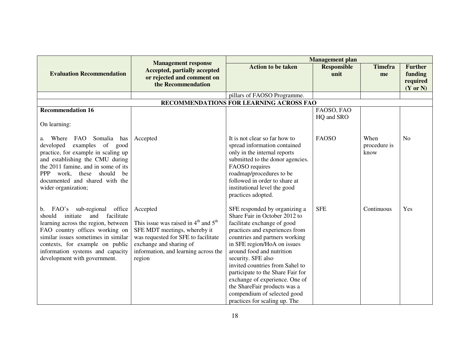|                                                                                                                                                                                                                                                                                                | <b>Management response</b>                                                                                                                                                                               |                                                                                                                                                                                                                                                                                                                                                                                                                                                               | <b>Management</b> plan |                              |                     |
|------------------------------------------------------------------------------------------------------------------------------------------------------------------------------------------------------------------------------------------------------------------------------------------------|----------------------------------------------------------------------------------------------------------------------------------------------------------------------------------------------------------|---------------------------------------------------------------------------------------------------------------------------------------------------------------------------------------------------------------------------------------------------------------------------------------------------------------------------------------------------------------------------------------------------------------------------------------------------------------|------------------------|------------------------------|---------------------|
| <b>Evaluation Recommendation</b>                                                                                                                                                                                                                                                               | <b>Accepted, partially accepted</b>                                                                                                                                                                      | <b>Action to be taken</b>                                                                                                                                                                                                                                                                                                                                                                                                                                     | <b>Responsible</b>     | <b>Timefra</b>               | <b>Further</b>      |
|                                                                                                                                                                                                                                                                                                | or rejected and comment on                                                                                                                                                                               |                                                                                                                                                                                                                                                                                                                                                                                                                                                               | unit                   | me                           | funding<br>required |
|                                                                                                                                                                                                                                                                                                | the Recommendation                                                                                                                                                                                       |                                                                                                                                                                                                                                                                                                                                                                                                                                                               |                        |                              | $(Y \text{ or } N)$ |
|                                                                                                                                                                                                                                                                                                |                                                                                                                                                                                                          | pillars of FAOSO Programme.                                                                                                                                                                                                                                                                                                                                                                                                                                   |                        |                              |                     |
|                                                                                                                                                                                                                                                                                                |                                                                                                                                                                                                          | RECOMMENDATIONS FOR LEARNING ACROSS FAO                                                                                                                                                                                                                                                                                                                                                                                                                       |                        |                              |                     |
| <b>Recommendation 16</b>                                                                                                                                                                                                                                                                       |                                                                                                                                                                                                          |                                                                                                                                                                                                                                                                                                                                                                                                                                                               | FAOSO, FAO             |                              |                     |
|                                                                                                                                                                                                                                                                                                |                                                                                                                                                                                                          |                                                                                                                                                                                                                                                                                                                                                                                                                                                               | HQ and SRO             |                              |                     |
| On learning:                                                                                                                                                                                                                                                                                   |                                                                                                                                                                                                          |                                                                                                                                                                                                                                                                                                                                                                                                                                                               |                        |                              |                     |
| Where FAO Somalia<br>has<br>a.<br>examples of good<br>developed<br>practice, for example in scaling up<br>and establishing the CMU during<br>the 2011 famine, and in some of its<br>PPP work, these should<br>be<br>documented and shared with the<br>wider organization;                      | Accepted                                                                                                                                                                                                 | It is not clear so far how to<br>spread information contained<br>only in the internal reports<br>submitted to the donor agencies.<br>FAOSO requires<br>roadmap/procedures to be<br>followed in order to share at<br>institutional level the good<br>practices adopted.                                                                                                                                                                                        | <b>FAOSO</b>           | When<br>procedure is<br>know | N <sub>o</sub>      |
| b. FAO's sub-regional office<br>facilitate<br>should<br>and<br>initiate<br>learning across the region, between<br>FAO country offices working on<br>similar issues sometimes in similar<br>contexts, for example on public<br>information systems and capacity<br>development with government. | Accepted<br>This issue was raised in $4th$ and $5th$<br>SFE MDT meetings, whereby it<br>was requested for SFE to facilitate<br>exchange and sharing of<br>information, and learning across the<br>region | SFE responded by organizing a<br>Share Fair in October 2012 to<br>facilitate exchange of good<br>practices and experiences from<br>countries and partners working<br>in SFE region/HoA on issues<br>around food and nutrition<br>security. SFE also<br>invited countries from Sahel to<br>participate to the Share Fair for<br>exchange of experience. One of<br>the ShareFair products was a<br>compendium of selected good<br>practices for scaling up. The | <b>SFE</b>             | Continuous                   | Yes                 |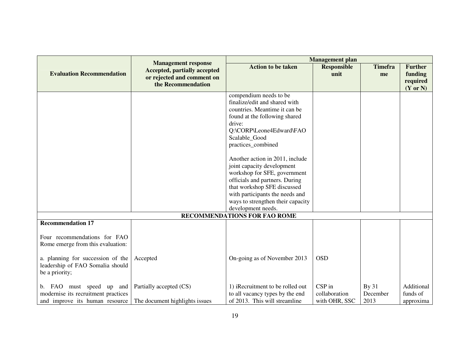|                                                                                                   |                                                                                                                       | <b>Management</b> plan                                                                                                                                                                                                                                                                                                                                                                                                                                                 |                                          |                                  |                                                              |
|---------------------------------------------------------------------------------------------------|-----------------------------------------------------------------------------------------------------------------------|------------------------------------------------------------------------------------------------------------------------------------------------------------------------------------------------------------------------------------------------------------------------------------------------------------------------------------------------------------------------------------------------------------------------------------------------------------------------|------------------------------------------|----------------------------------|--------------------------------------------------------------|
| <b>Evaluation Recommendation</b>                                                                  | <b>Management response</b><br><b>Accepted, partially accepted</b><br>or rejected and comment on<br>the Recommendation | <b>Action to be taken</b>                                                                                                                                                                                                                                                                                                                                                                                                                                              | <b>Responsible</b><br>unit               | <b>Timefra</b><br>me             | <b>Further</b><br>funding<br>required<br>$(Y \text{ or } N)$ |
|                                                                                                   |                                                                                                                       | compendium needs to be<br>finalize/edit and shared with<br>countries. Meantime it can be<br>found at the following shared<br>drive:<br>Q:\CORP\Leone4Edward\FAO<br>Scalable_Good<br>practices_combined<br>Another action in 2011, include<br>joint capacity development<br>workshop for SFE, government<br>officials and partners. During<br>that workshop SFE discussed<br>with participants the needs and<br>ways to strengthen their capacity<br>development needs. |                                          |                                  |                                                              |
|                                                                                                   |                                                                                                                       | <b>RECOMMENDATIONS FOR FAO ROME</b>                                                                                                                                                                                                                                                                                                                                                                                                                                    |                                          |                                  |                                                              |
| <b>Recommendation 17</b><br>Four recommendations for FAO<br>Rome emerge from this evaluation:     |                                                                                                                       |                                                                                                                                                                                                                                                                                                                                                                                                                                                                        |                                          |                                  |                                                              |
| a. planning for succession of the<br>leadership of FAO Somalia should<br>be a priority;           | Accepted                                                                                                              | On-going as of November 2013                                                                                                                                                                                                                                                                                                                                                                                                                                           | <b>OSD</b>                               |                                  |                                                              |
| b. FAO must speed up and<br>modernise its recruitment practices<br>and improve its human resource | Partially accepted (CS)<br>The document highlights issues                                                             | 1) iRecruitment to be rolled out<br>to all vacancy types by the end<br>of 2013. This will streamline                                                                                                                                                                                                                                                                                                                                                                   | CSP in<br>collaboration<br>with OHR, SSC | <b>By 31</b><br>December<br>2013 | Additional<br>funds of<br>approxima                          |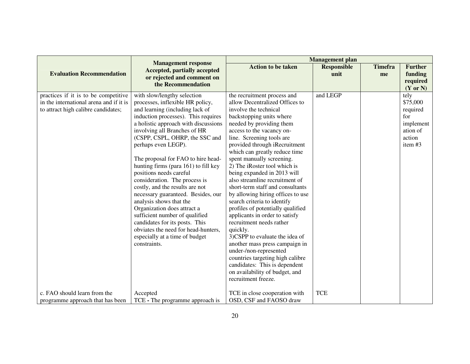|                                                                                                                        |                                                                                                                                                                                                                                                                                                                                                                                                                                                                                                                                                                                                                                                                                                                      |                                                                                                                                                                                                                                                                                                                                                                                                                                                                                                                                                                                                                                                                                                                                                                                                                                                             | <b>Management</b> plan     |                      |                                                                                     |
|------------------------------------------------------------------------------------------------------------------------|----------------------------------------------------------------------------------------------------------------------------------------------------------------------------------------------------------------------------------------------------------------------------------------------------------------------------------------------------------------------------------------------------------------------------------------------------------------------------------------------------------------------------------------------------------------------------------------------------------------------------------------------------------------------------------------------------------------------|-------------------------------------------------------------------------------------------------------------------------------------------------------------------------------------------------------------------------------------------------------------------------------------------------------------------------------------------------------------------------------------------------------------------------------------------------------------------------------------------------------------------------------------------------------------------------------------------------------------------------------------------------------------------------------------------------------------------------------------------------------------------------------------------------------------------------------------------------------------|----------------------------|----------------------|-------------------------------------------------------------------------------------|
| <b>Evaluation Recommendation</b>                                                                                       | <b>Management response</b><br><b>Accepted, partially accepted</b><br>or rejected and comment on<br>the Recommendation                                                                                                                                                                                                                                                                                                                                                                                                                                                                                                                                                                                                | <b>Action to be taken</b>                                                                                                                                                                                                                                                                                                                                                                                                                                                                                                                                                                                                                                                                                                                                                                                                                                   | <b>Responsible</b><br>unit | <b>Timefra</b><br>me | <b>Further</b><br>funding<br>required<br>$(Y \text{ or } N)$                        |
| practices if it is to be competitive<br>in the international arena and if it is<br>to attract high calibre candidates; | with slow/lengthy selection<br>processes, inflexible HR policy,<br>and learning (including lack of<br>induction processes). This requires<br>a holistic approach with discussions<br>involving all Branches of HR<br>(CSPP, CSPL, OHRP, the SSC and<br>perhaps even LEGP).<br>The proposal for FAO to hire head-<br>hunting firms (para 161) to fill key<br>positions needs careful<br>consideration. The process is<br>costly, and the results are not<br>necessary guaranteed. Besides, our<br>analysis shows that the<br>Organization does attract a<br>sufficient number of qualified<br>candidates for its posts. This<br>obviates the need for head-hunters,<br>especially at a time of budget<br>constraints. | the recruitment process and<br>allow Decentralized Offices to<br>involve the technical<br>backstopping units where<br>needed by providing them<br>access to the vacancy on-<br>line. Screening tools are<br>provided through iRecruitment<br>which can greatly reduce time<br>spent manually screening.<br>2) The iRoster tool which is<br>being expanded in 2013 will<br>also streamline recruitment of<br>short-term staff and consultants<br>by allowing hiring offices to use<br>search criteria to identify<br>profiles of potentially qualified<br>applicants in order to satisfy<br>recruitment needs rather<br>quickly.<br>3)CSPP to evaluate the idea of<br>another mass press campaign in<br>under-/non-represented<br>countries targeting high calibre<br>candidates: This is dependent<br>on availability of budget, and<br>recruitment freeze. | and LEGP                   |                      | tely<br>\$75,000<br>required<br>for<br>implement<br>ation of<br>action<br>item $#3$ |
| c. FAO should learn from the<br>programme approach that has been                                                       | Accepted<br>TCE - The programme approach is                                                                                                                                                                                                                                                                                                                                                                                                                                                                                                                                                                                                                                                                          | TCE in close cooperation with<br>OSD, CSF and FAOSO draw                                                                                                                                                                                                                                                                                                                                                                                                                                                                                                                                                                                                                                                                                                                                                                                                    | <b>TCE</b>                 |                      |                                                                                     |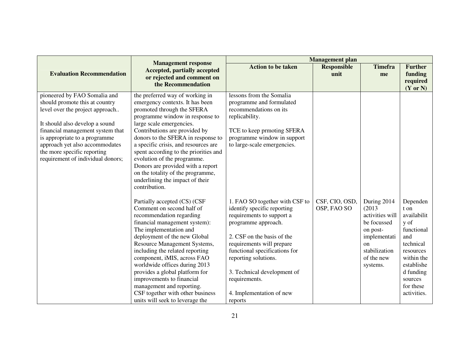|                                                                                                                                                                                                                                                                                                                |                                                                                                                                                                                                                                                                                                                                                                                                                                                                                        | <b>Management</b> plan                                                                                                                                                                                                                                                                                                       |                               |                                                                                                                                      |                                                                                                                                                                        |
|----------------------------------------------------------------------------------------------------------------------------------------------------------------------------------------------------------------------------------------------------------------------------------------------------------------|----------------------------------------------------------------------------------------------------------------------------------------------------------------------------------------------------------------------------------------------------------------------------------------------------------------------------------------------------------------------------------------------------------------------------------------------------------------------------------------|------------------------------------------------------------------------------------------------------------------------------------------------------------------------------------------------------------------------------------------------------------------------------------------------------------------------------|-------------------------------|--------------------------------------------------------------------------------------------------------------------------------------|------------------------------------------------------------------------------------------------------------------------------------------------------------------------|
| <b>Evaluation Recommendation</b>                                                                                                                                                                                                                                                                               | <b>Management response</b><br><b>Accepted, partially accepted</b><br>or rejected and comment on                                                                                                                                                                                                                                                                                                                                                                                        | <b>Action to be taken</b>                                                                                                                                                                                                                                                                                                    | <b>Responsible</b><br>unit    | <b>Timefra</b><br>me                                                                                                                 | <b>Further</b><br>funding                                                                                                                                              |
|                                                                                                                                                                                                                                                                                                                | the Recommendation                                                                                                                                                                                                                                                                                                                                                                                                                                                                     |                                                                                                                                                                                                                                                                                                                              |                               |                                                                                                                                      | required<br>$(Y \text{ or } N)$                                                                                                                                        |
| pioneered by FAO Somalia and<br>should promote this at country<br>level over the project approach<br>It should also develop a sound<br>financial management system that<br>is appropriate to a programme<br>approach yet also accommodates<br>the more specific reporting<br>requirement of individual donors; | the preferred way of working in<br>emergency contexts. It has been<br>promoted through the SFERA<br>programme window in response to<br>large scale emergencies.<br>Contributions are provided by<br>donors to the SFERA in response to<br>a specific crisis, and resources are<br>spent according to the priorities and<br>evolution of the programme.<br>Donors are provided with a report<br>on the totality of the programme,<br>underlining the impact of their<br>contribution.   | lessons from the Somalia<br>programme and formulated<br>recommendations on its<br>replicability.<br>TCE to keep prmoting SFERA<br>programme window in support<br>to large-scale emergencies.                                                                                                                                 |                               |                                                                                                                                      |                                                                                                                                                                        |
|                                                                                                                                                                                                                                                                                                                | Partially accepted (CS) (CSF<br>Comment on second half of<br>recommendation regarding<br>financial management system):<br>The implementation and<br>deployment of the new Global<br>Resource Management Systems,<br>including the related reporting<br>component, iMIS, across FAO<br>worldwide offices during 2013<br>provides a global platform for<br>improvements to financial<br>management and reporting.<br>CSF together with other business<br>units will seek to leverage the | 1. FAO SO together with CSF to<br>identify specific reporting<br>requirements to support a<br>programme approach.<br>2. CSF on the basis of the<br>requirements will prepare<br>functional specifications for<br>reporting solutions.<br>3. Technical development of<br>requirements.<br>4. Implementation of new<br>reports | CSF, CIO, OSD,<br>OSP, FAO SO | During 2014<br>(2013)<br>activities will<br>be focussed<br>on post-<br>implementati<br>on<br>stabilization<br>of the new<br>systems. | Dependen<br>t on<br>availabilit<br>y of<br>functional<br>and<br>technical<br>resources<br>within the<br>establishe<br>d funding<br>sources<br>for these<br>activities. |